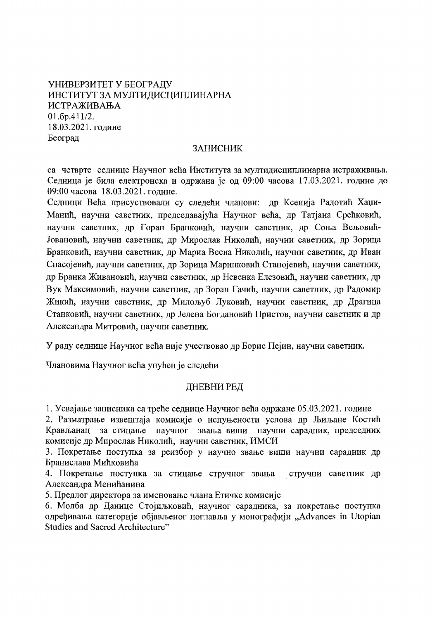# УНИВЕРЗИТЕТ У БЕОГРАДУ ИНСТИТУТ ЗА МУЛТИДИСЦИПЛИНАРНА **ИСТРАЖИВАЊА**  $01.6p.411/2.$ 18.03.2021. године Београд

# **ЗАПИСНИК**

са четврте седнице Научног већа Института за мултидисциплинарна истраживања. Седница је била електронска и одржана је од 09:00 часова 17.03.2021. године до 09:00 часова 18.03.2021. године.

Седници Већа присуствовали су следећи чланови: др Ксенија Радотић Хаџи-Манић, научни саветник, председавајућа Научног већа, др Татјана Срећковић, научни саветник, др Горан Бранковић, научни саветник, др Соња Вељовић-Јовановић, научни саветник, др Мирослав Николић, научни саветник, др Зорица Бранковић, научни саветник, др Мариа Весна Николић, научни саветник, др Иван Спасојевић, научни саветник, др Зорица Маринковић Станојевић, научни саветник, др Бранка Живановић, научни саветник, др Невенка Елезовић, научни саветник, др Вук Максимовић, научни саветник, др Зоран Гачић, научни саветник, др Радомир Жикић, научни саветник, др Милољуб Луковић, научни саветник, др Драгица Станковић, научни саветник, др Јелена Богдановић Пристов, научни саветник и др Александра Митровић, научни саветник.

У раду седнице Научног већа није учествовао др Борис Пејин, научни саветник.

Члановима Научног већа упућен је следећи

# ДНЕВНИ РЕД

1. Усвајање записника са треће седнице Научног већа одржане 05.03.2021. године

2. Разматрање извештаја комисије о испуњености услова др Љиљане Костић Крављанац за стицање научног звања виши научни сарадник, председник комисије др Мирослав Николић, научни саветник, ИМСИ

3. Покретање поступка за реизбор у научно звање виши научни сарадник др Бранислава Мићковића

4. Покретање поступка за стицање стручног звања стручни саветник др Александра Менићанина

5. Предлог директора за именовање члана Етичке комисије

6. Молба др Данице Стојиљковић, научног сарадника, за покретање поступка одређивања категорије објављеног поглавља у монографији "Advances in Utopian Studies and Sacred Architecture"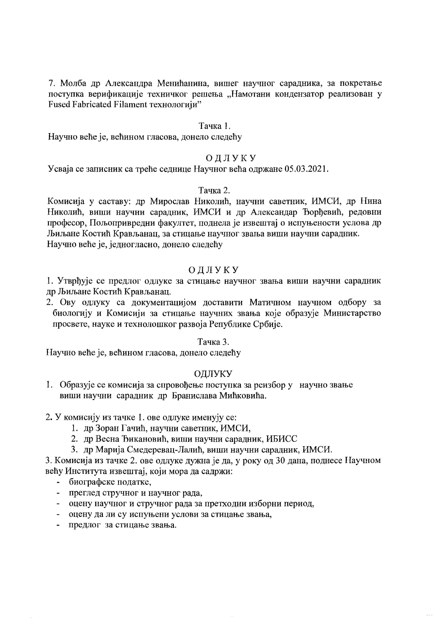7. Молба др Александра Менићанина, вишег научног сарадника, за покретање поступка верификације техничког решења "Намотани кондензатор реализован у Fused Fabricated Filament технологији"

### Тачка 1.

Научно веће је, већином гласова, донело следећу

# ОДЛУКУ

Усваја се записник са треће седнице Научног већа одржане 05.03.2021.

### Тачка 2.

Комисија у саставу: др Мирослав Николић, научни саветник, ИМСИ, др Нина Николић, виши научни сарадник, ИМСИ и др Александар Ђорђевић, редовни професор, Пољопривредни факултет, поднела је извештај о испуњености услова др Љиљане Костић Крављанац, за стицање научног звања виши научни сарадник. Научно веће је, једногласно, донело следећу

# ОДЛУКУ

1. Утврђује се предлог одлуке за стицање научног звања виши научни сарадник лю Љиљане Костић Крављанац.

2. Ову одлуку са документацијом доставити Матичном научном одбору за биологију и Комисији за стицање научних звања које образује Министарство просвете, науке и технолошког развоја Републике Србије.

#### Тачка 3.

Научно веће је, већином гласова, донело следећу

#### ОЛЛУКУ

1. Образује се комисија за спровођење поступка за реизбор у научно звање виши научни сарадник др Бранислава Мићковића.

### 2. У комисију из тачке 1. ове одлуке именују се:

- 1. др Зоран Гачић, научни саветник, ИМСИ,
- 2. др Весна Ђикановић, виши научни сарадник, ИБИСС
- 3. др Марија Смедеревац-Лалић, виши научни сарадник, ИМСИ.

3. Комисија из тачке 2. ове одлуке дужна је да, у року од 30 дана, поднесе Научном већу Института извештај, који мора да садржи:

- биографске податке,
- преглед стручног и научног рада,
- оцену научног и стручног рада за претходни изборни период,
- оцену да ли су испуњени услови за стицање звања,
- предлог за стицање звања.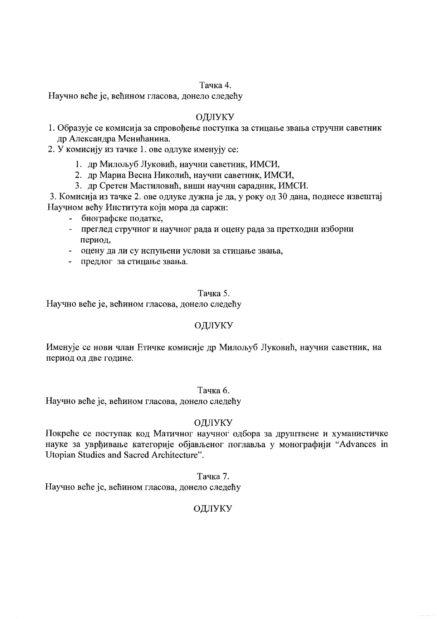# Тачка 4.

Научно веће је, већином гласова, донело следећу

# ОДЛУКУ

- 1. Образује се комисија за спровођење поступка за стицање звања стручни саветник др Александра Менићанина.
- 2. У комисију из тачке 1. ове одлуке именују се:
	- 1. др Милољуб Луковић, научни саветник, ИМСИ,
	- 2. др Мариа Весна Николић, научни саветник, ИМСИ,
	- 3. др Сретен Мастиловић, виши научни сарадник, ИМСИ.

3. Комисија из тачке 2. ове одлуке дужна је да, у року од 30 дана, поднесе извештај Научном већу Института који мора да саржи:

- биографске податке,
- $\omega_{\rm c}$ преглед стручног и научног рада и оцену рада за претходни изборни период.
- оцену да ли су испуњени услови за стицање звања,
- предлог за стицање звања.

### Тачка 5.

Научно веће је, већином гласова, донело следећу

# ОДЛУКУ

Именује се нови члан Етичке комисије др Милољуб Луковић, научни саветник, на период од две године.

# Тачка 6.

Научно веће је, већином гласова, донело следећу

# ОДЛУКУ

Покреће се поступак код Матичног научног одбора за друштвене и хуманистичке науке за уврђивање категорије објављеног поглавља у монографији "Advances in Utopian Studies and Sacred Architecture".

Тачка 7.

Научно веће је, већином гласова, донело следећу

# ОДЛУКУ